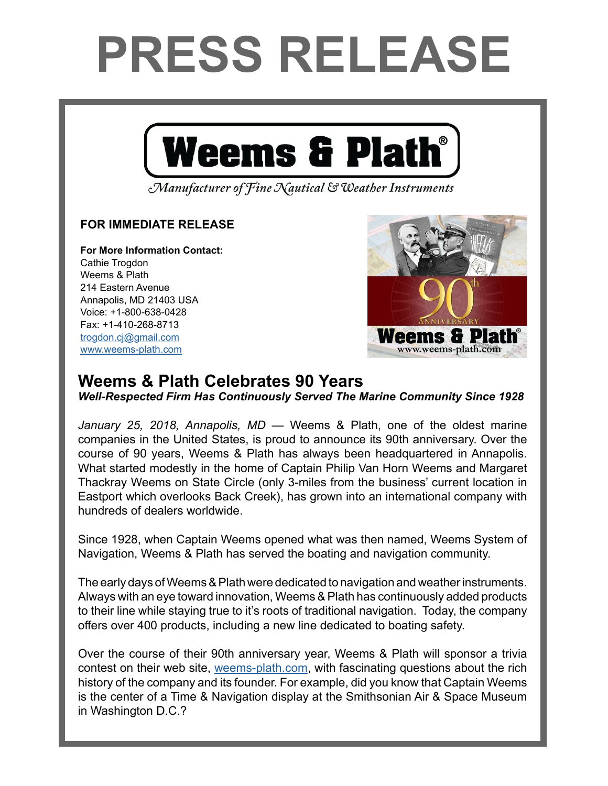## **PRESS RELEASE**



Manufacturer of Fine Nautical & Weather Instruments

## **FOR IMMEDIATE RELEASE**

**For More Information Contact:**  Cathie Trogdon Weems & Plath 214 Eastern Avenue Annapolis, MD 21403 USA Voice: +1-800-638-0428 Fax: +1-410-268-8713 [trogdon.cj@gmail.com](mailto:trogdon.cj%40gmail.com?subject=Regarding%20Press%20Release%20-%20On%20The%20Wind%20Sponsor) [www.weems-plath.com](http://www.weems-plath.com)



## **Weems & Plath Celebrates 90 Years**

*Well-Respected Firm Has Continuously Served The Marine Community Since 1928*

*January 25, 2018, Annapolis, MD* — Weems & Plath, one of the oldest marine companies in the United States, is proud to announce its 90th anniversary. Over the course of 90 years, Weems & Plath has always been headquartered in Annapolis. What started modestly in the home of Captain Philip Van Horn Weems and Margaret Thackray Weems on State Circle (only 3-miles from the business' current location in Eastport which overlooks Back Creek), has grown into an international company with hundreds of dealers worldwide.

Since 1928, when Captain Weems opened what was then named, Weems System of Navigation, Weems & Plath has served the boating and navigation community.

The early days of Weems & Plath were dedicated to navigation and weather instruments. Always with an eye toward innovation, Weems & Plath has continuously added products to their line while staying true to it's roots of traditional navigation. Today, the company offers over 400 products, including a new line dedicated to boating safety.

Over the course of their 90th anniversary year, Weems & Plath will sponsor a trivia contest on their web site, [weems-plath.com,](http://www.weems-plath.com) with fascinating questions about the rich history of the company and its founder. For example, did you know that Captain Weems is the center of a Time & Navigation display at the Smithsonian Air & Space Museum in Washington D.C.?